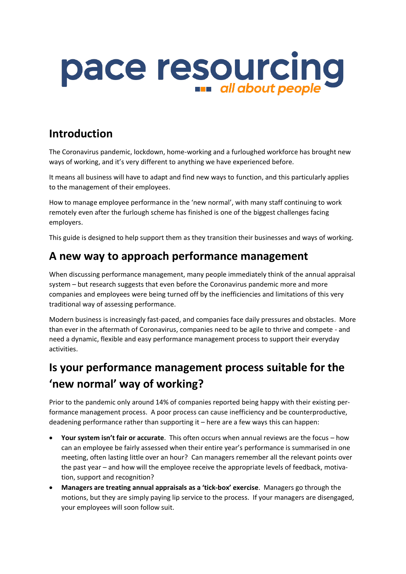

## **Introduction**

The Coronavirus pandemic, lockdown, home-working and a furloughed workforce has brought new ways of working, and it's very different to anything we have experienced before.

It means all business will have to adapt and find new ways to function, and this particularly applies to the management of their employees.

How to manage employee performance in the 'new normal', with many staff continuing to work remotely even after the furlough scheme has finished is one of the biggest challenges facing employers.

This guide is designed to help support them as they transition their businesses and ways of working.

#### **A new way to approach performance management**

When discussing performance management, many people immediately think of the annual appraisal system – but research suggests that even before the Coronavirus pandemic more and more companies and employees were being turned off by the inefficiencies and limitations of this very traditional way of assessing performance.

Modern business is increasingly fast-paced, and companies face daily pressures and obstacles. More than ever in the aftermath of Coronavirus, companies need to be agile to thrive and compete - and need a dynamic, flexible and easy performance management process to support their everyday activities.

# **Is your performance management process suitable for the 'new normal' way of working?**

Prior to the pandemic only around 14% of companies reported being happy with their existing performance management process. A poor process can cause inefficiency and be counterproductive, deadening performance rather than supporting it – here are a few ways this can happen:

- **Your system isn't fair or accurate**. This often occurs when annual reviews are the focus how can an employee be fairly assessed when their entire year's performance is summarised in one meeting, often lasting little over an hour? Can managers remember all the relevant points over the past year – and how will the employee receive the appropriate levels of feedback, motivation, support and recognition?
- **Managers are treating annual appraisals as a 'tick-box' exercise**. Managers go through the motions, but they are simply paying lip service to the process. If your managers are disengaged, your employees will soon follow suit.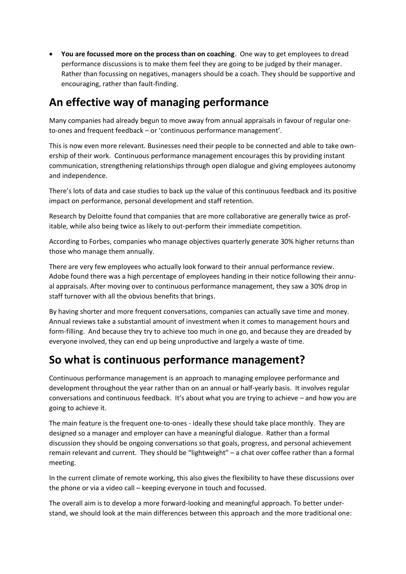• **You are focussed more on the process than on coaching**. One way to get employees to dread performance discussions is to make them feel they are going to be judged by their manager. Rather than focussing on negatives, managers should be a coach. They should be supportive and encouraging, rather than fault-finding.

## **An effective way of managing performance**

Many companies had already begun to move away from annual appraisals in favour of regular oneto-ones and frequent feedback – or 'continuous performance management'.

This is now even more relevant. Businesses need their people to be connected and able to take ownership of their work. Continuous performance management encourages this by providing instant communication, strengthening relationships through open dialogue and giving employees autonomy and independence.

There's lots of data and case studies to back up the value of this continuous feedback and its positive impact on performance, personal development and staff retention.

Research by Deloitte found that companies that are more collaborative are generally twice as profitable, while also being twice as likely to out-perform their immediate competition.

According to Forbes, companies who manage objectives quarterly generate 30% higher returns than those who manage them annually.

There are very few employees who actually look forward to their annual performance review. Adobe found there was a high percentage of employees handing in their notice following their annual appraisals. After moving over to continuous performance management, they saw a 30% drop in staff turnover with all the obvious benefits that brings.

By having shorter and more frequent conversations, companies can actually save time and money. Annual reviews take a substantial amount of investment when it comes to management hours and form-filling. And because they try to achieve too much in one go, and because they are dreaded by everyone involved, they can end up being unproductive and largely a waste of time.

### **So what is continuous performance management?**

Continuous performance management is an approach to managing employee performance and development throughout the year rather than on an annual or half-yearly basis. It involves regular conversations and continuous feedback. It's about what you are trying to achieve – and how you are going to achieve it.

The main feature is the frequent one-to-ones - ideally these should take place monthly. They are designed so a manager and employer can have a meaningful dialogue. Rather than a formal discussion they should be ongoing conversations so that goals, progress, and personal achievement remain relevant and current. They should be "lightweight" – a chat over coffee rather than a formal meeting.

In the current climate of remote working, this also gives the flexibility to have these discussions over the phone or via a video call – keeping everyone in touch and focussed.

The overall aim is to develop a more forward-looking and meaningful approach. To better understand, we should look at the main differences between this approach and the more traditional one: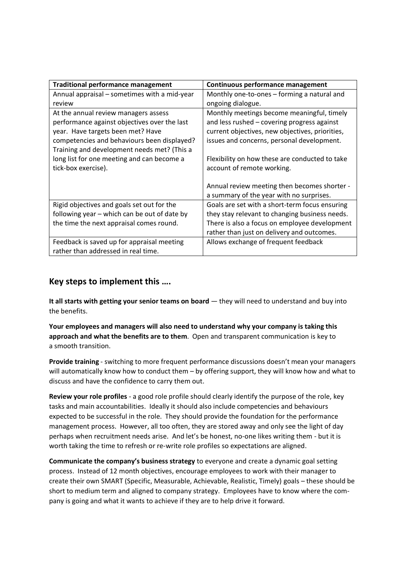| <b>Traditional performance management</b>    | Continuous performance management               |
|----------------------------------------------|-------------------------------------------------|
| Annual appraisal – sometimes with a mid-year | Monthly one-to-ones – forming a natural and     |
| review                                       | ongoing dialogue.                               |
| At the annual review managers assess         | Monthly meetings become meaningful, timely      |
| performance against objectives over the last | and less rushed - covering progress against     |
| year. Have targets been met? Have            | current objectives, new objectives, priorities, |
| competencies and behaviours been displayed?  | issues and concerns, personal development.      |
| Training and development needs met? (This a  |                                                 |
| long list for one meeting and can become a   | Flexibility on how these are conducted to take  |
| tick-box exercise).                          | account of remote working.                      |
|                                              |                                                 |
|                                              | Annual review meeting then becomes shorter -    |
|                                              | a summary of the year with no surprises.        |
| Rigid objectives and goals set out for the   | Goals are set with a short-term focus ensuring  |
| following year – which can be out of date by | they stay relevant to changing business needs.  |
| the time the next appraisal comes round.     | There is also a focus on employee development   |
|                                              | rather than just on delivery and outcomes.      |
| Feedback is saved up for appraisal meeting   | Allows exchange of frequent feedback            |
| rather than addressed in real time.          |                                                 |

#### **Key steps to implement this ….**

**It all starts with getting your senior teams on board** — they will need to understand and buy into the benefits.

**Your employees and managers will also need to understand why your company is taking this approach and what the benefits are to them**. Open and transparent communication is key to a smooth transition.

**Provide training** - switching to more frequent performance discussions doesn't mean your managers will automatically know how to conduct them – by offering support, they will know how and what to discuss and have the confidence to carry them out.

**Review your role profiles** - a good role profile should clearly identify the purpose of the role, key tasks and main accountabilities. Ideally it should also include competencies and behaviours expected to be successful in the role. They should provide the foundation for the performance management process. However, all too often, they are stored away and only see the light of day perhaps when recruitment needs arise. And let's be honest, no-one likes writing them - but it is worth taking the time to refresh or re-write role profiles so expectations are aligned.

**Communicate the company's business strategy** to everyone and create a dynamic goal setting process. Instead of 12 month objectives, encourage employees to work with their manager to create their own SMART (Specific, Measurable, Achievable, Realistic, Timely) goals – these should be short to medium term and aligned to company strategy. Employees have to know where the company is going and what it wants to achieve if they are to help drive it forward.